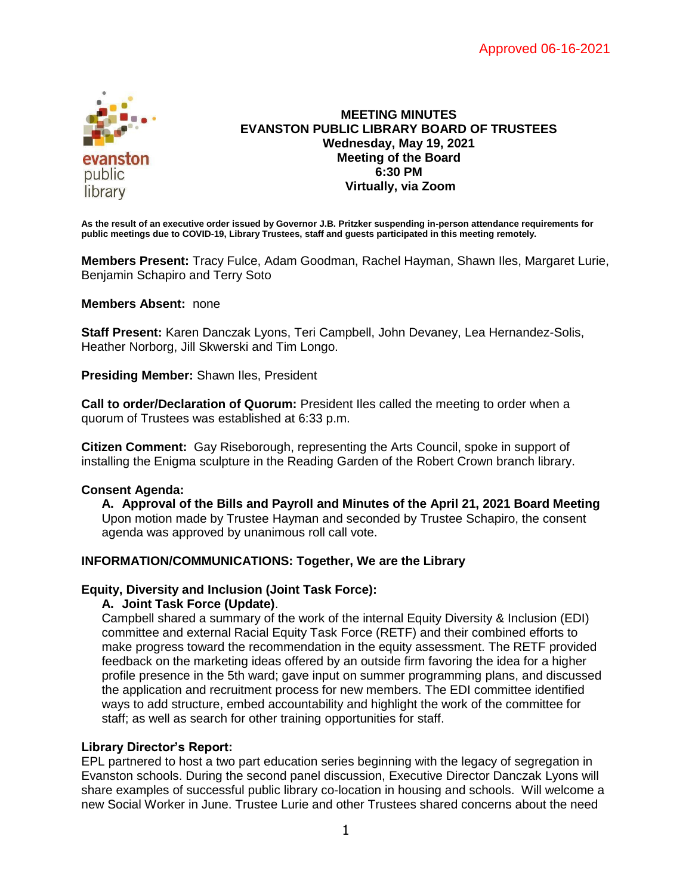

#### **MEETING MINUTES EVANSTON PUBLIC LIBRARY BOARD OF TRUSTEES Wednesday, May 19, 2021 Meeting of the Board 6:30 PM Virtually, via Zoom**

**As the result of an executive order issued by Governor J.B. Pritzker suspending in-person attendance requirements for public meetings due to COVID-19, Library Trustees, staff and guests participated in this meeting remotely.**

**Members Present:** Tracy Fulce, Adam Goodman, Rachel Hayman, Shawn Iles, Margaret Lurie, Benjamin Schapiro and Terry Soto

**Members Absent:** none

**Staff Present:** Karen Danczak Lyons, Teri Campbell, John Devaney, Lea Hernandez-Solis, Heather Norborg, Jill Skwerski and Tim Longo.

**Presiding Member:** Shawn Iles, President

**Call to order/Declaration of Quorum:** President Iles called the meeting to order when a quorum of Trustees was established at 6:33 p.m.

**Citizen Comment:** Gay Riseborough, representing the Arts Council, spoke in support of installing the Enigma sculpture in the Reading Garden of the Robert Crown branch library.

#### **Consent Agenda:**

**A. Approval of the Bills and Payroll and Minutes of the April 21, 2021 Board Meeting** Upon motion made by Trustee Hayman and seconded by Trustee Schapiro, the consent agenda was approved by unanimous roll call vote.

#### **INFORMATION/COMMUNICATIONS: Together, We are the Library**

#### **Equity, Diversity and Inclusion (Joint Task Force):**

#### **A. Joint Task Force (Update)**.

Campbell shared a summary of the work of the internal Equity Diversity & Inclusion (EDI) committee and external Racial Equity Task Force (RETF) and their combined efforts to make progress toward the recommendation in the equity assessment. The RETF provided feedback on the marketing ideas offered by an outside firm favoring the idea for a higher profile presence in the 5th ward; gave input on summer programming plans, and discussed the application and recruitment process for new members. The EDI committee identified ways to add structure, embed accountability and highlight the work of the committee for staff; as well as search for other training opportunities for staff.

#### **Library Director's Report:**

EPL partnered to host a two part education series beginning with the legacy of segregation in Evanston schools. During the second panel discussion, Executive Director Danczak Lyons will share examples of successful public library co-location in housing and schools. Will welcome a new Social Worker in June. Trustee Lurie and other Trustees shared concerns about the need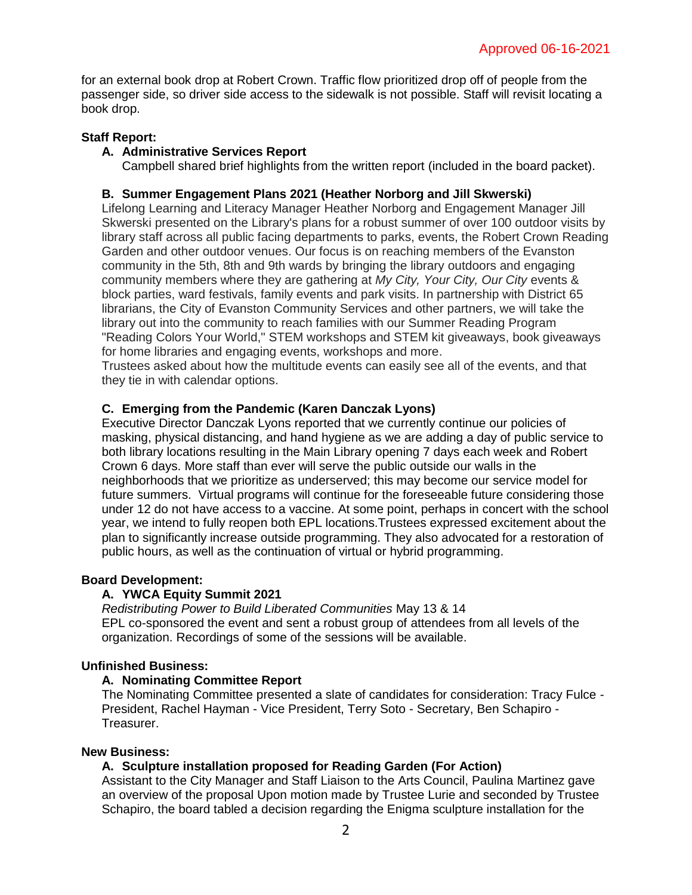for an external book drop at Robert Crown. Traffic flow prioritized drop off of people from the passenger side, so driver side access to the sidewalk is not possible. Staff will revisit locating a book drop.

# **Staff Report:**

## **A. Administrative Services Report**

Campbell shared brief highlights from the written report (included in the board packet).

# **B. Summer Engagement Plans 2021 (Heather Norborg and Jill Skwerski)**

Lifelong Learning and Literacy Manager Heather Norborg and Engagement Manager Jill Skwerski presented on the Library's plans for a robust summer of over 100 outdoor visits by library staff across all public facing departments to parks, events, the Robert Crown Reading Garden and other outdoor venues. Our focus is on reaching members of the Evanston community in the 5th, 8th and 9th wards by bringing the library outdoors and engaging community members where they are gathering at *My City, Your City, Our City* events & block parties, ward festivals, family events and park visits. In partnership with District 65 librarians, the City of Evanston Community Services and other partners, we will take the library out into the community to reach families with our Summer Reading Program "Reading Colors Your World," STEM workshops and STEM kit giveaways, book giveaways for home libraries and engaging events, workshops and more.

Trustees asked about how the multitude events can easily see all of the events, and that they tie in with calendar options.

## **C. Emerging from the Pandemic (Karen Danczak Lyons)**

Executive Director Danczak Lyons reported that we currently continue our policies of masking, physical distancing, and hand hygiene as we are adding a day of public service to both library locations resulting in the Main Library opening 7 days each week and Robert Crown 6 days. More staff than ever will serve the public outside our walls in the neighborhoods that we prioritize as underserved; this may become our service model for future summers. Virtual programs will continue for the foreseeable future considering those under 12 do not have access to a vaccine. At some point, perhaps in concert with the school year, we intend to fully reopen both EPL locations.Trustees expressed excitement about the plan to significantly increase outside programming. They also advocated for a restoration of public hours, as well as the continuation of virtual or hybrid programming.

## **Board Development:**

## **A. YWCA Equity Summit 2021**

*Redistributing Power to Build Liberated Communities* May 13 & 14 EPL co-sponsored the event and sent a robust group of attendees from all levels of the organization. Recordings of some of the sessions will be available.

## **Unfinished Business:**

## **A. Nominating Committee Report**

The Nominating Committee presented a slate of candidates for consideration: Tracy Fulce - President, Rachel Hayman - Vice President, Terry Soto - Secretary, Ben Schapiro - Treasurer.

## **New Business:**

## **A. Sculpture installation proposed for Reading Garden (For Action)**

Assistant to the City Manager and Staff Liaison to the Arts Council, Paulina Martinez gave an overview of the proposal Upon motion made by Trustee Lurie and seconded by Trustee Schapiro, the board tabled a decision regarding the Enigma sculpture installation for the